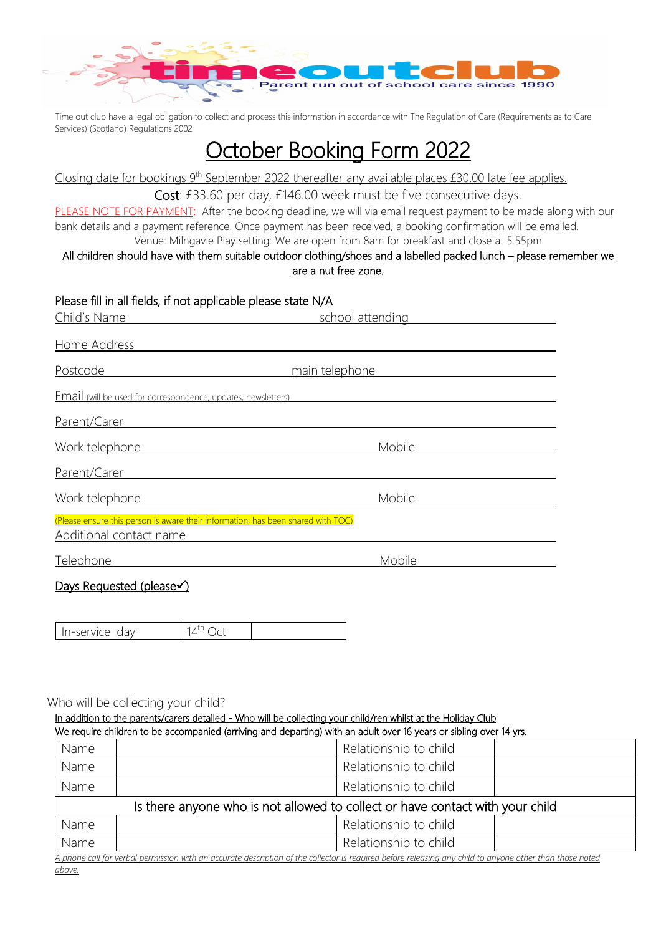

Time out club have a legal obligation to collect and process this information in accordance with The Regulation of Care (Requirements as to Care Services) (Scotland) Regulations 2002

## October Booking Form 2022

Closing date for bookings 9<sup>th</sup> September 2022 thereafter any available places £30.00 late fee applies.

Cost: £33.60 per day, £146.00 week must be five consecutive days.

PLEASE NOTE FOR PAYMENT: After the booking deadline, we will via email request payment to be made along with our bank details and a payment reference. Once payment has been received, a booking confirmation will be emailed. Venue: Milngavie Play setting: We are open from 8am for breakfast and close at 5.55pm

All children should have with them suitable outdoor clothing/shoes and a labelled packed lunch - please remember we are a nut free zone.

| Please fill in all fields, if not applicable please state N/A                                               |                  |
|-------------------------------------------------------------------------------------------------------------|------------------|
| Child's Name                                                                                                | school attending |
| Home Address                                                                                                |                  |
| Postcode                                                                                                    | main telephone   |
| <b>Email</b> (will be used for correspondence, updates, newsletters)                                        |                  |
| Parent/Carer                                                                                                |                  |
| Work telephone                                                                                              | Mobile           |
| Parent/Carer                                                                                                |                  |
| Work telephone                                                                                              | Mobile           |
| (Please ensure this person is aware their information, has been shared with TOC)<br>Additional contact name |                  |
| Telephone                                                                                                   | Mobile           |
| Days Requested (please√)                                                                                    |                  |
|                                                                                                             |                  |
| 14 <sup>th</sup> Oct<br>In-service day                                                                      |                  |

#### Who will be collecting your child?

In addition to the parents/carers detailed - Who will be collecting your child/ren whilst at the Holiday Club We require children to be accompanied (arriving and departing) with an adult over 16 years or sibling over 14 yrs.

| Name                                                                                                                                                     | Relationship to child                                                         |  |  |  |  |
|----------------------------------------------------------------------------------------------------------------------------------------------------------|-------------------------------------------------------------------------------|--|--|--|--|
| Name                                                                                                                                                     | Relationship to child                                                         |  |  |  |  |
| Name                                                                                                                                                     | Relationship to child                                                         |  |  |  |  |
|                                                                                                                                                          | Is there anyone who is not allowed to collect or have contact with your child |  |  |  |  |
| Name                                                                                                                                                     | Relationship to child                                                         |  |  |  |  |
| Name                                                                                                                                                     | Relationship to child                                                         |  |  |  |  |
| A phone call for verbal permission with an accurate description of the collector is required before releasing any child to anyone other than those noted |                                                                               |  |  |  |  |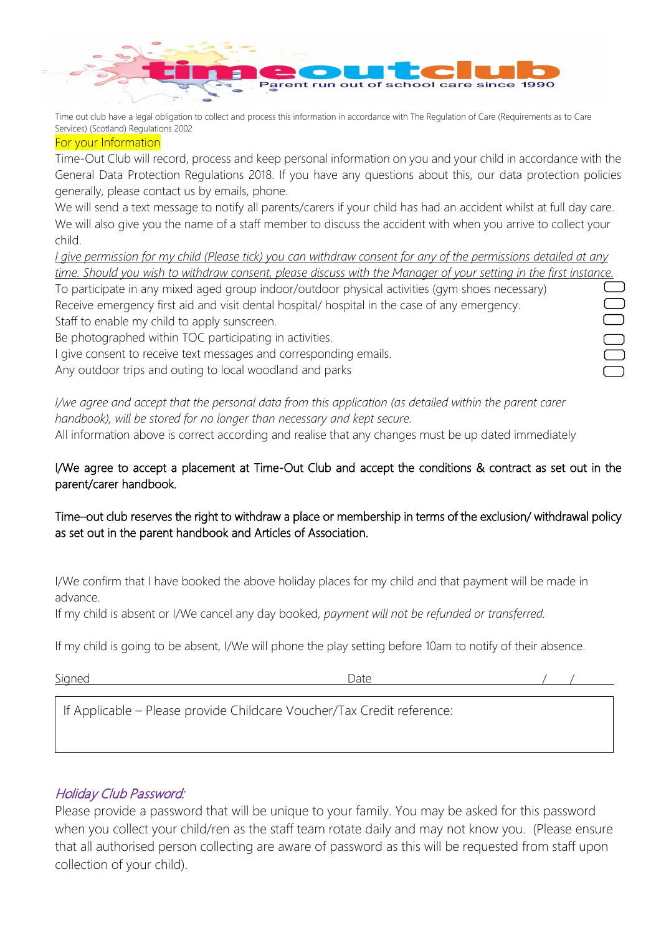

Time out club have a legal obligation to collect and process this information in accordance with The Regulation of Care (Requirements as to Care Services) (Scotland) Regulations 2002

#### For your Information

Time-Out Club will record, process and keep personal information on you and your child in accordance with the General Data Protection Regulations 2018. If you have any questions about this, our data protection policies generally, please contact us by emails, phone.

We will send a text message to notify all parents/carers if your child has had an accident whilst at full day care. We will also give you the name of a staff member to discuss the accident with when you arrive to collect your child.

*I give permission for my child (Please tick) you can withdraw consent for any of the permissions detailed at any time. Should you wish to withdraw consent, please discuss with the Manager of your setting in the first instance.*

**DOODO** 

To participate in any mixed aged group indoor/outdoor physical activities (gym shoes necessary) Receive emergency first aid and visit dental hospital/ hospital in the case of any emergency. Staff to enable my child to apply sunscreen.

Be photographed within TOC participating in activities.

I give consent to receive text messages and corresponding emails.

Any outdoor trips and outing to local woodland and parks

*I/we agree and accept that the personal data from this application (as detailed within the parent carer handbook), will be stored for no longer than necessary and kept secure.*

All information above is correct according and realise that any changes must be up dated immediately

#### I/We agree to accept a placement at Time-Out Club and accept the conditions & contract as set out in the parent/carer handbook.

### Time–out club reserves the right to withdraw a place or membership in terms of the exclusion/ withdrawal policy as set out in the parent handbook and Articles of Association.

I/We confirm that I have booked the above holiday places for my child and that payment will be made in advance.

If my child is absent or I/We cancel any day booked*, payment will not be refunded or transferred.*

If my child is going to be absent, I/We will phone the play setting before 10am to notify of their absence.

| $\overline{\phantom{a}}$<br>້ |  |  |
|-------------------------------|--|--|
|                               |  |  |
|                               |  |  |

If Applicable – Please provide Childcare Voucher/Tax Credit reference:

### Holiday Club Password:

Please provide a password that will be unique to your family. You may be asked for this password when you collect your child/ren as the staff team rotate daily and may not know you. (Please ensure that all authorised person collecting are aware of password as this will be requested from staff upon collection of your child).